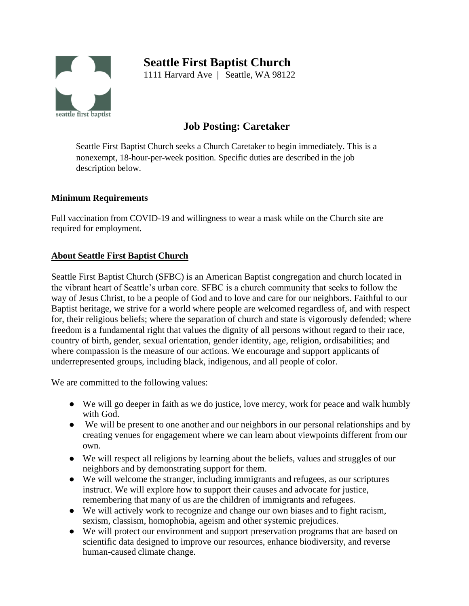# seattle first baptist

# **Seattle First Baptist Church**

1111 Harvard Ave | Seattle, WA 98122

# **Job Posting: Caretaker**

Seattle First Baptist Church seeks a Church Caretaker to begin immediately. This is a nonexempt, 18-hour-per-week position. Specific duties are described in the job description below.

# **Minimum Requirements**

Full vaccination from COVID-19 and willingness to wear a mask while on the Church site are required for employment.

# **About Seattle First Baptist Church**

Seattle First Baptist Church (SFBC) is an American Baptist congregation and church located in the vibrant heart of Seattle's urban core. SFBC is a church community that seeks to follow the way of Jesus Christ, to be a people of God and to love and care for our neighbors. Faithful to our Baptist heritage, we strive for a world where people are welcomed regardless of, and with respect for, their religious beliefs; where the separation of church and state is vigorously defended; where freedom is a fundamental right that values the dignity of all persons without regard to their race, country of birth, gender, sexual orientation, gender identity, age, religion, ordisabilities; and where compassion is the measure of our actions. We encourage and support applicants of underrepresented groups, including black, indigenous, and all people of color.

We are committed to the following values:

- We will go deeper in faith as we do justice, love mercy, work for peace and walk humbly with God.
- We will be present to one another and our neighbors in our personal relationships and by creating venues for engagement where we can learn about viewpoints different from our own.
- We will respect all religions by learning about the beliefs, values and struggles of our neighbors and by demonstrating support for them.
- We will welcome the stranger, including immigrants and refugees, as our scriptures instruct. We will explore how to support their causes and advocate for justice, remembering that many of us are the children of immigrants and refugees.
- We will actively work to recognize and change our own biases and to fight racism, sexism, classism, homophobia, ageism and other systemic prejudices.
- We will protect our environment and support preservation programs that are based on scientific data designed to improve our resources, enhance biodiversity, and reverse human-caused climate change.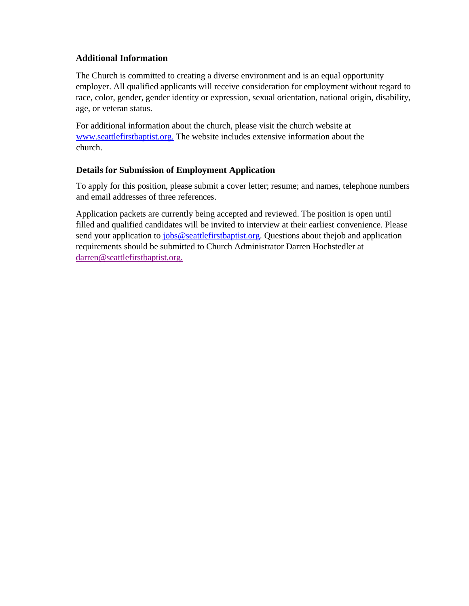# **Additional Information**

The Church is committed to creating a diverse environment and is an equal opportunity employer. All qualified applicants will receive consideration for employment without regard to race, color, gender, gender identity or expression, sexual orientation, national origin, disability, age, or veteran status.

For additional information about the church, please visit the church website at [www.seattlefirstbaptist.org.](http://www.seattlefirstbaptist.org/) The website includes extensive information about the church.

# **Details for Submission of Employment Application**

To apply for this position, please submit a cover letter; resume; and names, telephone numbers and email addresses of three references.

Application packets are currently being accepted and reviewed. The position is open until filled and qualified candidates will be invited to interview at their earliest convenience. Please send your application to [jobs@seattlefirstbaptist.org. Q](mailto:jobs@seattlefirstbaptist.org)uestions about the job and application requirements should be submitted to Church Administrator Darren Hochstedler at [darren@seattlefirstbaptist.org.](mailto:darren@seattlefirstbaptist.org)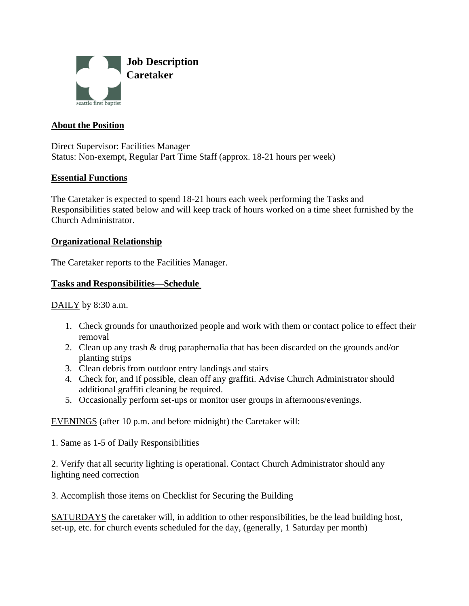

# **About the Position**

Direct Supervisor: Facilities Manager Status: Non-exempt, Regular Part Time Staff (approx. 18-21 hours per week)

#### **Essential Functions**

The Caretaker is expected to spend 18-21 hours each week performing the Tasks and Responsibilities stated below and will keep track of hours worked on a time sheet furnished by the Church Administrator.

#### **Organizational Relationship**

The Caretaker reports to the Facilities Manager.

#### **Tasks and Responsibilities—Schedule**

 $DAILY$  by 8:30 a.m.</u>

- 1. Check grounds for unauthorized people and work with them or contact police to effect their removal
- 2. Clean up any trash & drug paraphernalia that has been discarded on the grounds and/or planting strips
- 3. Clean debris from outdoor entry landings and stairs
- 4. Check for, and if possible, clean off any graffiti. Advise Church Administrator should additional graffiti cleaning be required.
- 5. Occasionally perform set-ups or monitor user groups in afternoons/evenings.

EVENINGS (after 10 p.m. and before midnight) the Caretaker will:

1. Same as 1-5 of Daily Responsibilities

2. Verify that all security lighting is operational. Contact Church Administrator should any lighting need correction

3. Accomplish those items on Checklist for Securing the Building

SATURDAYS the caretaker will, in addition to other responsibilities, be the lead building host, set-up, etc. for church events scheduled for the day, (generally, 1 Saturday per month)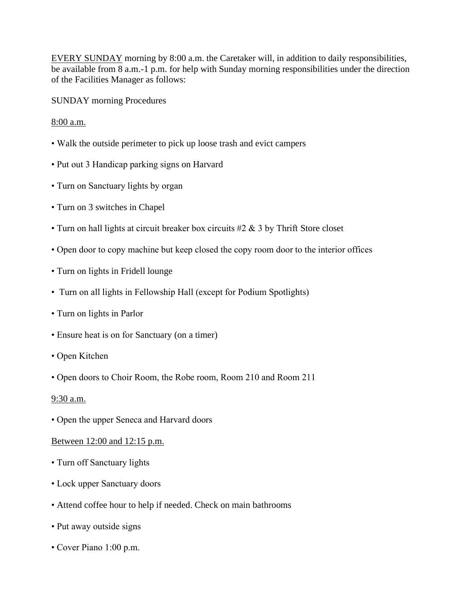EVERY SUNDAY morning by 8:00 a.m. the Caretaker will, in addition to daily responsibilities, be available from 8 a.m.-1 p.m. for help with Sunday morning responsibilities under the direction of the Facilities Manager as follows:

SUNDAY morning Procedures

# 8:00 a.m.

- Walk the outside perimeter to pick up loose trash and evict campers
- Put out 3 Handicap parking signs on Harvard
- Turn on Sanctuary lights by organ
- Turn on 3 switches in Chapel
- Turn on hall lights at circuit breaker box circuits #2 & 3 by Thrift Store closet
- Open door to copy machine but keep closed the copy room door to the interior offices
- Turn on lights in Fridell lounge
- Turn on all lights in Fellowship Hall (except for Podium Spotlights)
- Turn on lights in Parlor
- Ensure heat is on for Sanctuary (on a timer)
- Open Kitchen
- Open doors to Choir Room, the Robe room, Room 210 and Room 211

#### $9:30$  a.m.

• Open the upper Seneca and Harvard doors

#### Between 12:00 and 12:15 p.m.

- Turn off Sanctuary lights
- Lock upper Sanctuary doors
- Attend coffee hour to help if needed. Check on main bathrooms
- Put away outside signs
- Cover Piano 1:00 p.m.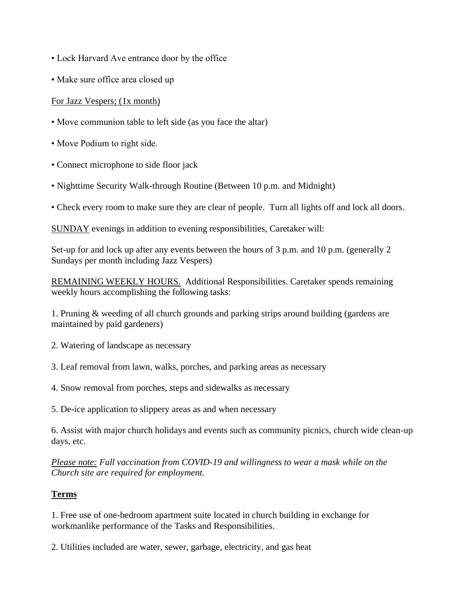- Lock Harvard Ave entrance door by the office
- Make sure office area closed up

# For Jazz Vespers; (1x month)

- Move communion table to left side (as you face the altar)
- Move Podium to right side.
- Connect microphone to side floor jack
- Nighttime Security Walk-through Routine (Between 10 p.m. and Midnight)
- Check every room to make sure they are clear of people. Turn all lights off and lock all doors.

SUNDAY evenings in addition to evening responsibilities, Caretaker will:

Set-up for and lock up after any events between the hours of 3 p.m. and 10 p.m. (generally 2 Sundays per month including Jazz Vespers)

REMAINING WEEKLY HOURS. Additional Responsibilities. Caretaker spends remaining weekly hours accomplishing the following tasks:

1. Pruning & weeding of all church grounds and parking strips around building (gardens are maintained by paid gardeners)

- 2. Watering of landscape as necessary
- 3. Leaf removal from lawn, walks, porches, and parking areas as necessary
- 4. Snow removal from porches, steps and sidewalks as necessary
- 5. De-ice application to slippery areas as and when necessary

6. Assist with major church holidays and events such as community picnics, church wide clean-up days, etc.

*Please note: Full vaccination from COVID-19 and willingness to wear a mask while on the Church site are required for employment.*

#### **Terms**

1. Free use of one-bedroom apartment suite located in church building in exchange for workmanlike performance of the Tasks and Responsibilities.

2. Utilities included are water, sewer, garbage, electricity, and gas heat